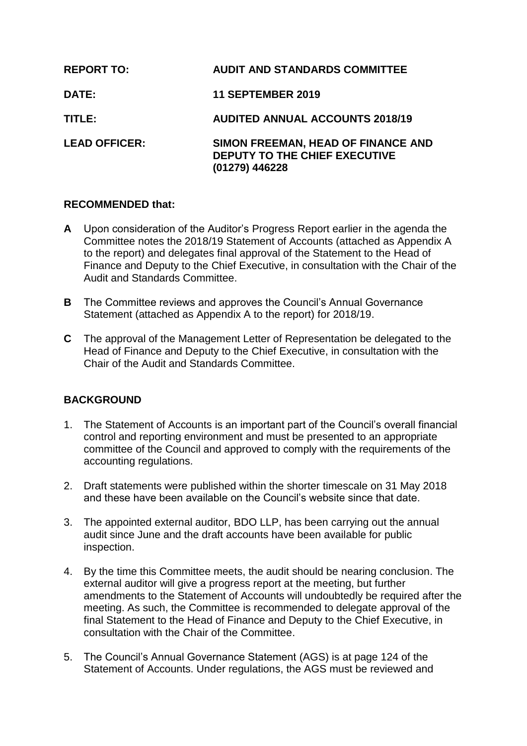| <b>REPORT TO:</b>    | <b>AUDIT AND STANDARDS COMMITTEE</b>                                                         |
|----------------------|----------------------------------------------------------------------------------------------|
| <b>DATE:</b>         | <b>11 SEPTEMBER 2019</b>                                                                     |
| TITLE:               | <b>AUDITED ANNUAL ACCOUNTS 2018/19</b>                                                       |
| <b>LEAD OFFICER:</b> | SIMON FREEMAN, HEAD OF FINANCE AND<br><b>DEPUTY TO THE CHIEF EXECUTIVE</b><br>(01279) 446228 |

## **RECOMMENDED that:**

- **A** Upon consideration of the Auditor's Progress Report earlier in the agenda the Committee notes the 2018/19 Statement of Accounts (attached as Appendix A to the report) and delegates final approval of the Statement to the Head of Finance and Deputy to the Chief Executive, in consultation with the Chair of the Audit and Standards Committee.
- **B** The Committee reviews and approves the Council's Annual Governance Statement (attached as Appendix A to the report) for 2018/19.
- **C** The approval of the Management Letter of Representation be delegated to the Head of Finance and Deputy to the Chief Executive, in consultation with the Chair of the Audit and Standards Committee.

# **BACKGROUND**

- 1. The Statement of Accounts is an important part of the Council's overall financial control and reporting environment and must be presented to an appropriate committee of the Council and approved to comply with the requirements of the accounting regulations.
- 2. Draft statements were published within the shorter timescale on 31 May 2018 and these have been available on the Council's website since that date.
- 3. The appointed external auditor, BDO LLP, has been carrying out the annual audit since June and the draft accounts have been available for public inspection.
- 4. By the time this Committee meets, the audit should be nearing conclusion. The external auditor will give a progress report at the meeting, but further amendments to the Statement of Accounts will undoubtedly be required after the meeting. As such, the Committee is recommended to delegate approval of the final Statement to the Head of Finance and Deputy to the Chief Executive, in consultation with the Chair of the Committee.
- 5. The Council's Annual Governance Statement (AGS) is at page 124 of the Statement of Accounts. Under regulations, the AGS must be reviewed and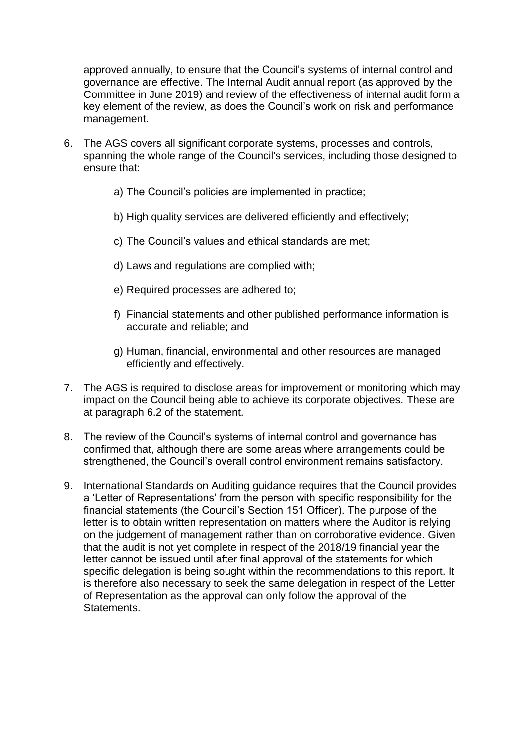approved annually, to ensure that the Council's systems of internal control and governance are effective. The Internal Audit annual report (as approved by the Committee in June 2019) and review of the effectiveness of internal audit form a key element of the review, as does the Council's work on risk and performance management.

- 6. The AGS covers all significant corporate systems, processes and controls, spanning the whole range of the Council's services, including those designed to ensure that:
	- a) The Council's policies are implemented in practice;
	- b) High quality services are delivered efficiently and effectively;
	- c) The Council's values and ethical standards are met;
	- d) Laws and regulations are complied with;
	- e) Required processes are adhered to;
	- f) Financial statements and other published performance information is accurate and reliable; and
	- g) Human, financial, environmental and other resources are managed efficiently and effectively.
- 7. The AGS is required to disclose areas for improvement or monitoring which may impact on the Council being able to achieve its corporate objectives. These are at paragraph 6.2 of the statement.
- 8. The review of the Council's systems of internal control and governance has confirmed that, although there are some areas where arrangements could be strengthened, the Council's overall control environment remains satisfactory.
- 9. International Standards on Auditing guidance requires that the Council provides a 'Letter of Representations' from the person with specific responsibility for the financial statements (the Council's Section 151 Officer). The purpose of the letter is to obtain written representation on matters where the Auditor is relying on the judgement of management rather than on corroborative evidence. Given that the audit is not yet complete in respect of the 2018/19 financial year the letter cannot be issued until after final approval of the statements for which specific delegation is being sought within the recommendations to this report. It is therefore also necessary to seek the same delegation in respect of the Letter of Representation as the approval can only follow the approval of the Statements.